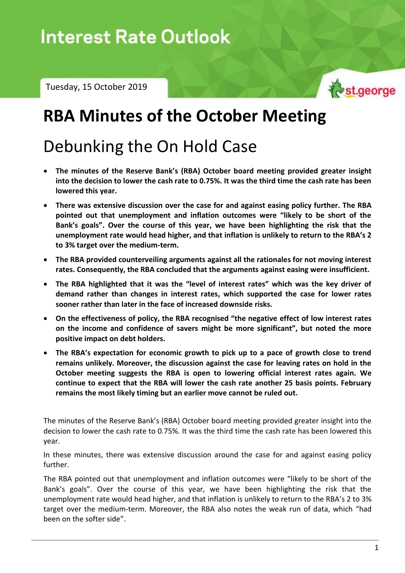Tuesday, 15 October 2019



## **RBA Minutes of the October Meeting**

# Debunking the On Hold Case

- **The minutes of the Reserve Bank's (RBA) October board meeting provided greater insight into the decision to lower the cash rate to 0.75%. It was the third time the cash rate has been lowered this year.**
- **There was extensive discussion over the case for and against easing policy further. The RBA pointed out that unemployment and inflation outcomes were "likely to be short of the Bank's goals". Over the course of this year, we have been highlighting the risk that the unemployment rate would head higher, and that inflation is unlikely to return to the RBA's 2 to 3% target over the medium-term.**
- **The RBA provided counterveiling arguments against all the rationales for not moving interest rates. Consequently, the RBA concluded that the arguments against easing were insufficient.**
- **The RBA highlighted that it was the "level of interest rates" which was the key driver of demand rather than changes in interest rates, which supported the case for lower rates sooner rather than later in the face of increased downside risks.**
- **On the effectiveness of policy, the RBA recognised "the negative effect of low interest rates on the income and confidence of savers might be more significant", but noted the more positive impact on debt holders.**
- **The RBA's expectation for economic growth to pick up to a pace of growth close to trend remains unlikely. Moreover, the discussion against the case for leaving rates on hold in the October meeting suggests the RBA is open to lowering official interest rates again. We continue to expect that the RBA will lower the cash rate another 25 basis points. February remains the most likely timing but an earlier move cannot be ruled out.**

The minutes of the Reserve Bank's (RBA) October board meeting provided greater insight into the decision to lower the cash rate to 0.75%. It was the third time the cash rate has been lowered this year.

In these minutes, there was extensive discussion around the case for and against easing policy further.

The RBA pointed out that unemployment and inflation outcomes were "likely to be short of the Bank's goals". Over the course of this year, we have been highlighting the risk that the unemployment rate would head higher, and that inflation is unlikely to return to the RBA's 2 to 3% target over the medium-term. Moreover, the RBA also notes the weak run of data, which "had been on the softer side".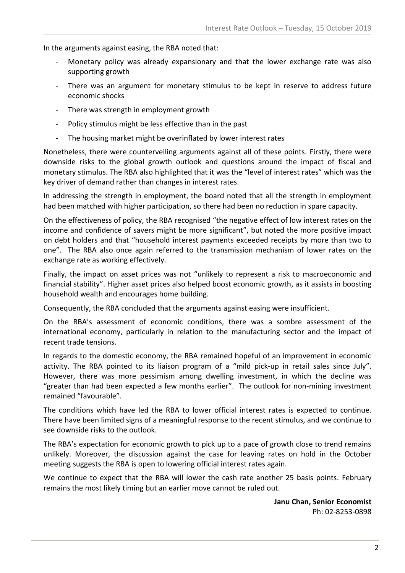In the arguments against easing, the RBA noted that:

- Monetary policy was already expansionary and that the lower exchange rate was also supporting growth
- There was an argument for monetary stimulus to be kept in reserve to address future economic shocks
- There was strength in employment growth
- Policy stimulus might be less effective than in the past
- The housing market might be overinflated by lower interest rates

Nonetheless, there were counterveiling arguments against all of these points. Firstly, there were downside risks to the global growth outlook and questions around the impact of fiscal and monetary stimulus. The RBA also highlighted that it was the "level of interest rates" which was the key driver of demand rather than changes in interest rates.

In addressing the strength in employment, the board noted that all the strength in employment had been matched with higher participation, so there had been no reduction in spare capacity.

On the effectiveness of policy, the RBA recognised "the negative effect of low interest rates on the income and confidence of savers might be more significant", but noted the more positive impact on debt holders and that "household interest payments exceeded receipts by more than two to one". The RBA also once again referred to the transmission mechanism of lower rates on the exchange rate as working effectively.

Finally, the impact on asset prices was not "unlikely to represent a risk to macroeconomic and financial stability". Higher asset prices also helped boost economic growth, as it assists in boosting household wealth and encourages home building.

Consequently, the RBA concluded that the arguments against easing were insufficient.

On the RBA's assessment of economic conditions, there was a sombre assessment of the international economy, particularly in relation to the manufacturing sector and the impact of recent trade tensions.

In regards to the domestic economy, the RBA remained hopeful of an improvement in economic activity. The RBA pointed to its liaison program of a "mild pick-up in retail sales since July". However, there was more pessimism among dwelling investment, in which the decline was "greater than had been expected a few months earlier". The outlook for non-mining investment remained "favourable".

The conditions which have led the RBA to lower official interest rates is expected to continue. There have been limited signs of a meaningful response to the recent stimulus, and we continue to see downside risks to the outlook.

The RBA's expectation for economic growth to pick up to a pace of growth close to trend remains unlikely. Moreover, the discussion against the case for leaving rates on hold in the October meeting suggests the RBA is open to lowering official interest rates again.

We continue to expect that the RBA will lower the cash rate another 25 basis points. February remains the most likely timing but an earlier move cannot be ruled out.

> **Janu Chan, Senior Economist** Ph: 02-8253-0898